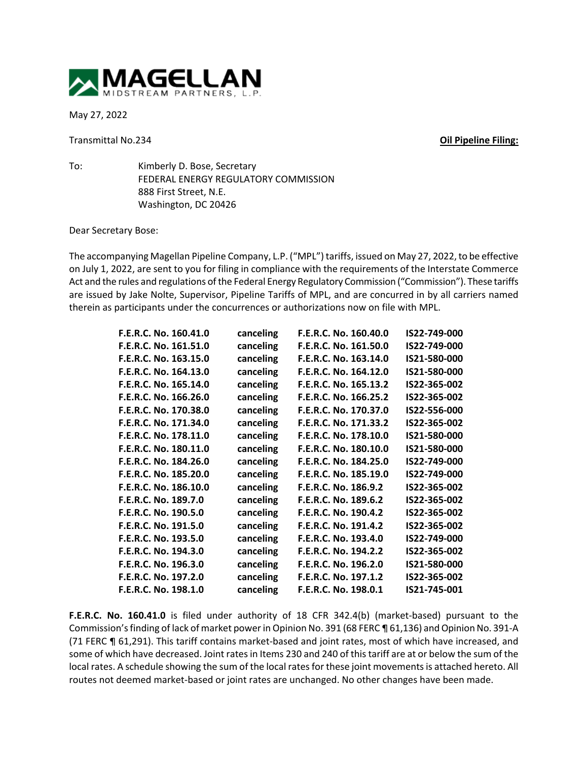

May 27, 2022

Transmittal No.234 **Oil Pipeline Filing:**

To: Kimberly D. Bose, Secretary FEDERAL ENERGY REGULATORY COMMISSION 888 First Street, N.E. Washington, DC 20426

Dear Secretary Bose:

The accompanying Magellan Pipeline Company, L.P. ("MPL") tariffs, issued on May 27, 2022, to be effective on July 1, 2022, are sent to you for filing in compliance with the requirements of the Interstate Commerce Act and the rules and regulations of the Federal Energy Regulatory Commission ("Commission"). These tariffs are issued by Jake Nolte, Supervisor, Pipeline Tariffs of MPL, and are concurred in by all carriers named therein as participants under the concurrences or authorizations now on file with MPL.

| F.E.R.C. No. 160.41.0 | canceling | F.E.R.C. No. 160.40.0 | IS22-749-000 |
|-----------------------|-----------|-----------------------|--------------|
| F.E.R.C. No. 161.51.0 | canceling | F.E.R.C. No. 161.50.0 | IS22-749-000 |
| F.E.R.C. No. 163.15.0 | canceling | F.E.R.C. No. 163.14.0 | IS21-580-000 |
| F.E.R.C. No. 164.13.0 | canceling | F.E.R.C. No. 164.12.0 | IS21-580-000 |
| F.E.R.C. No. 165.14.0 | canceling | F.E.R.C. No. 165.13.2 | IS22-365-002 |
| F.E.R.C. No. 166.26.0 | canceling | F.E.R.C. No. 166.25.2 | IS22-365-002 |
| F.E.R.C. No. 170.38.0 | canceling | F.E.R.C. No. 170.37.0 | IS22-556-000 |
| F.E.R.C. No. 171.34.0 | canceling | F.E.R.C. No. 171.33.2 | IS22-365-002 |
| F.E.R.C. No. 178.11.0 | canceling | F.E.R.C. No. 178.10.0 | IS21-580-000 |
| F.E.R.C. No. 180.11.0 | canceling | F.E.R.C. No. 180.10.0 | IS21-580-000 |
| F.E.R.C. No. 184.26.0 | canceling | F.E.R.C. No. 184.25.0 | IS22-749-000 |
| F.E.R.C. No. 185.20.0 | canceling | F.E.R.C. No. 185.19.0 | IS22-749-000 |
| F.E.R.C. No. 186.10.0 | canceling | F.E.R.C. No. 186.9.2  | IS22-365-002 |
| F.E.R.C. No. 189.7.0  | canceling | F.E.R.C. No. 189.6.2  | IS22-365-002 |
| F.E.R.C. No. 190.5.0  | canceling | F.E.R.C. No. 190.4.2  | IS22-365-002 |
| F.E.R.C. No. 191.5.0  | canceling | F.E.R.C. No. 191.4.2  | IS22-365-002 |
| F.E.R.C. No. 193.5.0  | canceling | F.E.R.C. No. 193.4.0  | IS22-749-000 |
| F.E.R.C. No. 194.3.0  | canceling | F.E.R.C. No. 194.2.2  | IS22-365-002 |
| F.E.R.C. No. 196.3.0  | canceling | F.E.R.C. No. 196.2.0  | IS21-580-000 |
| F.E.R.C. No. 197.2.0  | canceling | F.E.R.C. No. 197.1.2  | IS22-365-002 |
| F.E.R.C. No. 198.1.0  | canceling | F.E.R.C. No. 198.0.1  | IS21-745-001 |

**F.E.R.C. No. 160.41.0** is filed under authority of 18 CFR 342.4(b) (market-based) pursuant to the Commission's finding of lack of market power in Opinion No. 391 (68 FERC ¶ 61,136) and Opinion No. 391-A (71 FERC ¶ 61,291). This tariff contains market-based and joint rates, most of which have increased, and some of which have decreased. Joint rates in Items 230 and 240 of this tariff are at or below the sum of the local rates. A schedule showing the sum of the local rates for these joint movements is attached hereto. All routes not deemed market-based or joint rates are unchanged. No other changes have been made.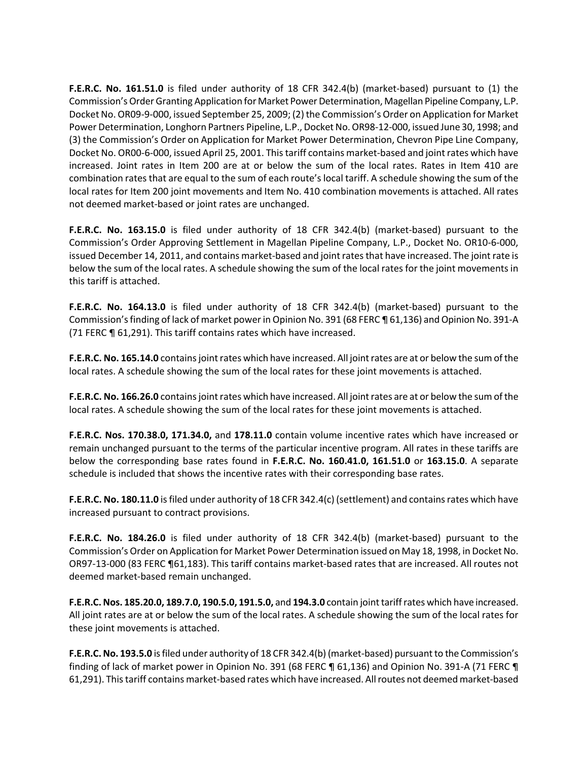**F.E.R.C. No. 161.51.0** is filed under authority of 18 CFR 342.4(b) (market-based) pursuant to (1) the Commission's Order Granting Application for Market Power Determination, Magellan Pipeline Company, L.P. Docket No. OR09-9-000, issued September 25, 2009; (2) the Commission's Order on Application for Market Power Determination, Longhorn Partners Pipeline, L.P., Docket No. OR98-12-000, issued June 30, 1998; and (3) the Commission's Order on Application for Market Power Determination, Chevron Pipe Line Company, Docket No. OR00-6-000, issued April 25, 2001. This tariff contains market-based and joint rates which have increased. Joint rates in Item 200 are at or below the sum of the local rates. Rates in Item 410 are combination rates that are equal to the sum of each route's local tariff. A schedule showing the sum of the local rates for Item 200 joint movements and Item No. 410 combination movements is attached. All rates not deemed market-based or joint rates are unchanged.

**F.E.R.C. No. 163.15.0** is filed under authority of 18 CFR 342.4(b) (market-based) pursuant to the Commission's Order Approving Settlement in Magellan Pipeline Company, L.P., Docket No. OR10-6-000, issued December 14, 2011, and contains market-based and joint rates that have increased. The joint rate is below the sum of the local rates. A schedule showing the sum of the local rates for the joint movements in this tariff is attached.

**F.E.R.C. No. 164.13.0** is filed under authority of 18 CFR 342.4(b) (market-based) pursuant to the Commission's finding of lack of market power in Opinion No. 391 (68 FERC ¶ 61,136) and Opinion No. 391-A (71 FERC ¶ 61,291). This tariff contains rates which have increased.

**F.E.R.C. No. 165.14.0** contains joint rates which have increased. All joint rates are at or below the sum of the local rates. A schedule showing the sum of the local rates for these joint movements is attached.

**F.E.R.C. No. 166.26.0** contains joint rates which have increased. All joint rates are at or below the sum of the local rates. A schedule showing the sum of the local rates for these joint movements is attached.

**F.E.R.C. Nos. 170.38.0, 171.34.0,** and **178.11.0** contain volume incentive rates which have increased or remain unchanged pursuant to the terms of the particular incentive program. All rates in these tariffs are below the corresponding base rates found in **F.E.R.C. No. 160.41.0, 161.51.0** or **163.15.0**. A separate schedule is included that shows the incentive rates with their corresponding base rates.

**F.E.R.C. No. 180.11.0** is filed under authority of 18 CFR 342.4(c) (settlement) and contains rates which have increased pursuant to contract provisions.

**F.E.R.C. No. 184.26.0** is filed under authority of 18 CFR 342.4(b) (market-based) pursuant to the Commission's Order on Application for Market Power Determination issued on May 18, 1998, in Docket No. OR97-13-000 (83 FERC ¶61,183). This tariff contains market-based rates that are increased. All routes not deemed market-based remain unchanged.

**F.E.R.C. Nos. 185.20.0, 189.7.0, 190.5.0, 191.5.0,** and **194.3.0** contain joint tariff rates which have increased. All joint rates are at or below the sum of the local rates. A schedule showing the sum of the local rates for these joint movements is attached.

**F.E.R.C. No. 193.5.0** isfiled under authority of 18 CFR 342.4(b) (market-based) pursuant to the Commission's finding of lack of market power in Opinion No. 391 (68 FERC ¶ 61,136) and Opinion No. 391-A (71 FERC ¶ 61,291). This tariff contains market-based rates which have increased. All routes not deemed market-based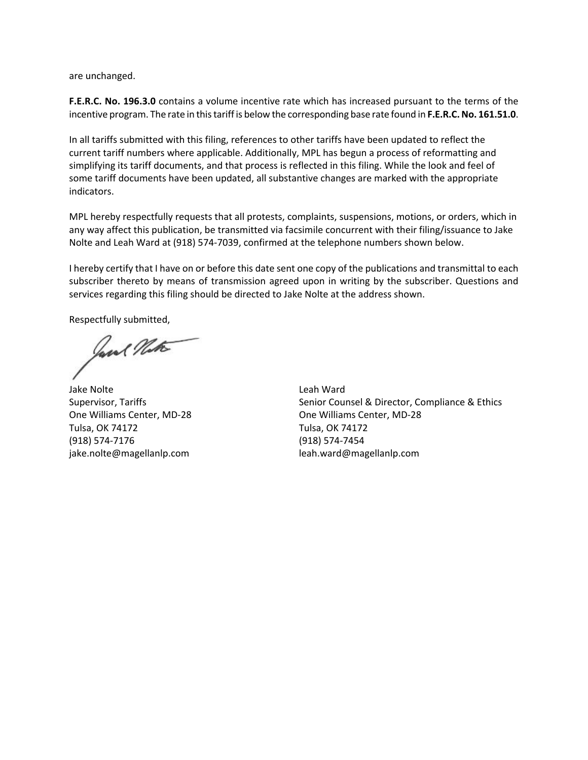are unchanged.

**F.E.R.C. No. 196.3.0** contains a volume incentive rate which has increased pursuant to the terms of the incentive program. The rate in this tariff is below the corresponding base rate found in **F.E.R.C. No. 161.51.0**.

In all tariffs submitted with this filing, references to other tariffs have been updated to reflect the current tariff numbers where applicable. Additionally, MPL has begun a process of reformatting and simplifying its tariff documents, and that process is reflected in this filing. While the look and feel of some tariff documents have been updated, all substantive changes are marked with the appropriate indicators.

MPL hereby respectfully requests that all protests, complaints, suspensions, motions, or orders, which in any way affect this publication, be transmitted via facsimile concurrent with their filing/issuance to Jake Nolte and Leah Ward at (918) 574-7039, confirmed at the telephone numbers shown below.

I hereby certify that I have on or before this date sent one copy of the publications and transmittal to each subscriber thereto by means of transmission agreed upon in writing by the subscriber. Questions and services regarding this filing should be directed to Jake Nolte at the address shown.

Respectfully submitted,

Jane Note

Jake Nolte Supervisor, Tariffs One Williams Center, MD-28 Tulsa, OK 74172 (918) 574-7176 jake.nolte@magellanlp.com

Leah Ward Senior Counsel & Director, Compliance & Ethics One Williams Center, MD-28 Tulsa, OK 74172 (918) 574-7454 leah.ward@magellanlp.com